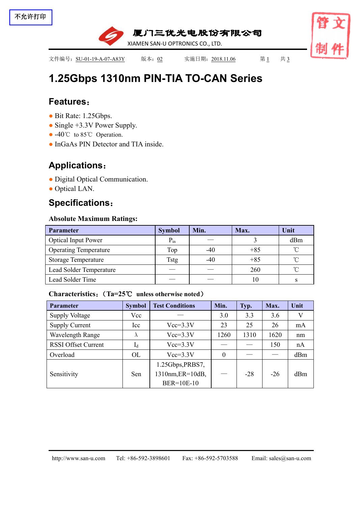

XIAMEN SAN-U OPTRONICS CO., LTD.

文件编号: SU-01-19-A-07-A83Y 版本: 02 实施日期: 2018.11.06 第1 共 3

厦门三优光电股份有限公司

# **1.25Gbps 1310nm PIN-TIA TO-CAN [Series](file:///C:/Users/Administrator/AppData/Local/youdao/dict/Application/7.5.2.0/resultui/dict/?keyword=series)**

### **Features**:

- Bit Rate: 1.25Gbps.
- Single +3.3V Power Supply.
- -40°C to 85°C Operation.
- InGaAs PIN Detector and TIA inside.

## **Applications**:

- Digital Optical Communication.
- Optical LAN.

## **Specifications**:

### **Absolute Maximum Ratings:**

| <b>Parameter</b>             | <b>Symbol</b> | Min.  | Max.  | Unit     |  |
|------------------------------|---------------|-------|-------|----------|--|
| <b>Optical Input Power</b>   | $P_{in}$      |       |       | dBm      |  |
| <b>Operating Temperature</b> | Top           | $-40$ | $+85$ | $\sim$   |  |
| <b>Storage Temperature</b>   | Tstg          | $-40$ | $+85$ | $\sim$   |  |
| Lead Solder Temperature      |               |       | 260   | $\gamma$ |  |
| Lead Solder Time             |               |       | 10    |          |  |

### **Characteristics**:(**Ta=25**℃ **unless otherwise noted**)

| <b>Parameter</b>           | <b>Symbol</b> | <b>Test Conditions</b> | Min.         | Typ.  | Max.  | Unit |
|----------------------------|---------------|------------------------|--------------|-------|-------|------|
| <b>Supply Voltage</b>      | Vcc           |                        | 3.0          | 3.3   | 3.6   | V    |
| <b>Supply Current</b>      | Icc           | $Vcc=3.3V$             | 23           | 25    | 26    | mA   |
| Wavelength Range           | $\Lambda$     | $Vcc=3.3V$             | 1260         | 1310  | 1620  | nm   |
| <b>RSSI Offset Current</b> | $I_d$         | $Vcc=3.3V$             |              |       | 150   | nA   |
| Overload                   | OL            | $Vcc=3.3V$             | $\mathbf{0}$ |       |       | dBm  |
|                            |               | 1.25Gbps, PRBS7,       |              |       |       |      |
| Sensitivity                | Sen           | 1310nm, ER=10dB,       |              | $-28$ | $-26$ | dBm  |
|                            |               | BER=10E-10             |              |       |       |      |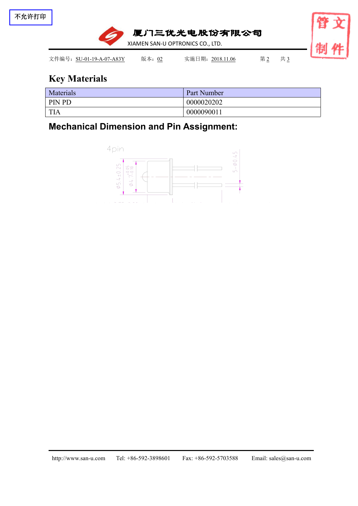

# **Key Materials**

| Materials  | Part Number |
|------------|-------------|
| PIN PD     | 0000020202  |
| <b>TIA</b> | 0000090011  |

**Mechanical Dimension and Pin Assignment:**